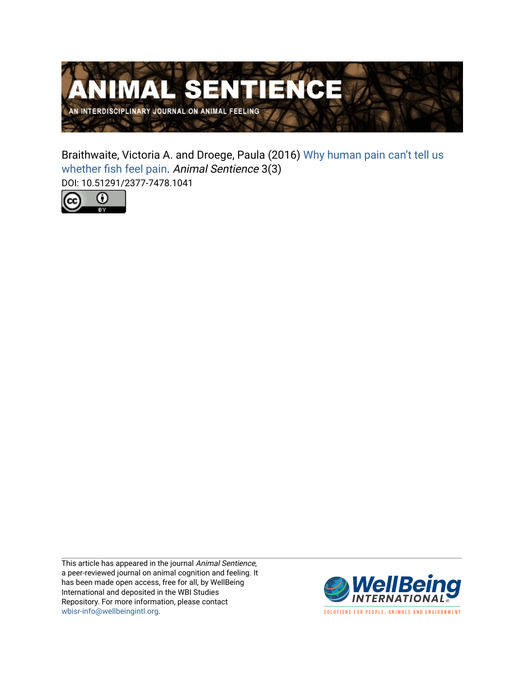

Braithwaite, Victoria A. and Droege, Paula (2016) [Why human pain can't tell us](https://www.wellbeingintlstudiesrepository.org/animsent/vol1/iss3/3)  [whether fish feel pain](https://www.wellbeingintlstudiesrepository.org/animsent/vol1/iss3/3). Animal Sentience 3(3) DOI: 10.51291/2377-7478.1041



This article has appeared in the journal Animal Sentience, a peer-reviewed journal on animal cognition and feeling. It has been made open access, free for all, by WellBeing International and deposited in the WBI Studies Repository. For more information, please contact [wbisr-info@wellbeingintl.org](mailto:wbisr-info@wellbeingintl.org).



SOLUTIONS FOR PEOPLE, ANIMALS AND ENVIRONMENT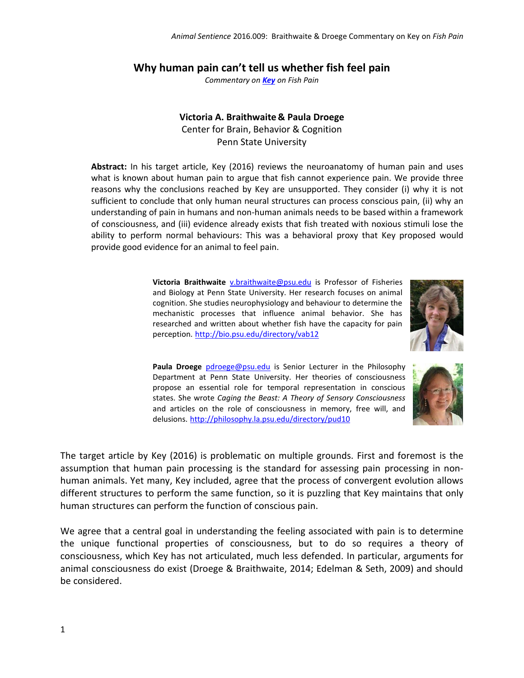## **Why human pain can't tell us whether fish feel pain**

*Commentary on [Key](http://animalstudiesrepository.org/animsent/vol1/iss3/1/) on Fish Pain*

## **Victoria A. Braithwaite & Paula Droege**

Center for Brain, Behavior & Cognition Penn State University

**Abstract:** In his target article, Key (2016) reviews the neuroanatomy of human pain and uses what is known about human pain to argue that fish cannot experience pain. We provide three reasons why the conclusions reached by Key are unsupported. They consider (i) why it is not sufficient to conclude that only human neural structures can process conscious pain, (ii) why an understanding of pain in humans and non-human animals needs to be based within a framework of consciousness, and (iii) evidence already exists that fish treated with noxious stimuli lose the ability to perform normal behaviours: This was a behavioral proxy that Key proposed would provide good evidence for an animal to feel pain.

> **Victoria Braithwaite** [v.braithwaite@psu.edu](mailto:v.braithwaite@psu.edu) is Professor of Fisheries and Biology at Penn State University. Her research focuses on animal cognition. She studies neurophysiology and behaviour to determine the mechanistic processes that influence animal behavior. She has researched and written about whether fish have the capacity for pain perception. <http://bio.psu.edu/directory/vab12>



Paula Droege [pdroege@psu.edu](mailto:pdroege@psu.edu) is Senior Lecturer in the Philosophy Department at Penn State University. Her theories of consciousness propose an essential role for temporal representation in conscious states. She wrote *Caging the Beast: A Theory of Sensory Consciousness* and articles on the role of consciousness in memory, free will, and delusions. <http://philosophy.la.psu.edu/directory/pud10>



The target article by Key (2016) is problematic on multiple grounds. First and foremost is the assumption that human pain processing is the standard for assessing pain processing in nonhuman animals. Yet many, Key included, agree that the process of convergent evolution allows different structures to perform the same function, so it is puzzling that Key maintains that only human structures can perform the function of conscious pain.

We agree that a central goal in understanding the feeling associated with pain is to determine the unique functional properties of consciousness, but to do so requires a theory of consciousness, which Key has not articulated, much less defended. In particular, arguments for animal consciousness do exist (Droege & Braithwaite, 2014; Edelman & Seth, 2009) and should be considered.